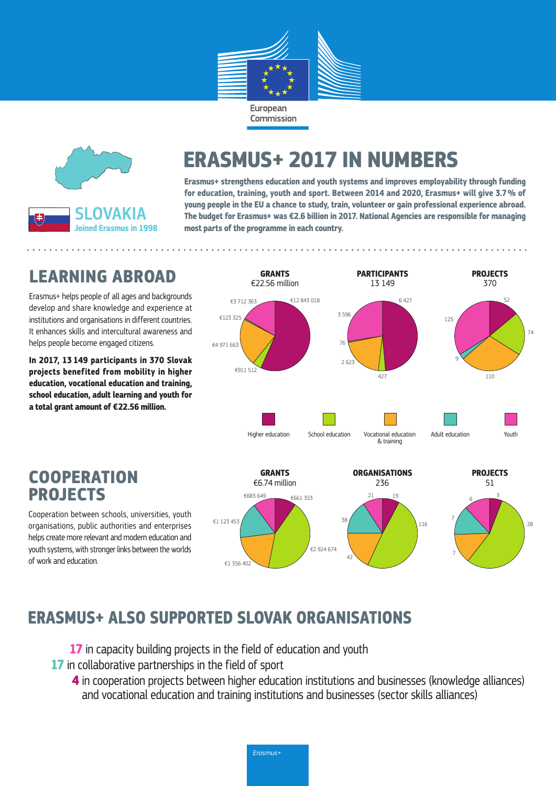



# **ERASMUS+ 2017 IN NUMBERS**

**Erasmus+ strengthens education and youth systems and improves employability through funding for education, training, youth and sport. Between 2014 and 2020, Erasmus+ will give 3.7% of young people in the EU a chance to study, train, volunteer or gain professional experience abroad. The budget for Erasmus+ was €2.6 billion in 2017. National Agencies are responsible for managing most parts of the programme in each country.**

# **LEARNING ABROAD**

Erasmus+ helps people of all ages and backgrounds develop and share knowledge and experience at institutions and organisations in different countries. It enhances skills and intercultural awareness and helps people become engaged citizens.

**In 2017, 13 149 participants in 370 Slovak projects benefited from mobility in higher education, vocational education and training, school education, adult learning and youth for a total grant amount of €22.56 million.**



**V** 

 $\overline{A}$ 

42

€2 924 674

€2 924 674 €2 924 674

7

7

7

## **COOPERATION PROJECTS**

Cooperation between schools, universities, youth organisations, public authorities and enterprises helps create more relevant and modern education and youth systems, with stronger links between the worlds of work and education.



€1 356 402

€1 356 402 €1 356 402

- **17** in capacity building projects in the field of education and youth
- **17** in collaborative partnerships in the field of sport
	- **4** in cooperation projects between higher education institutions and businesses (knowledge alliances) and vocational education and training institutions and businesses (sector skills alliances)